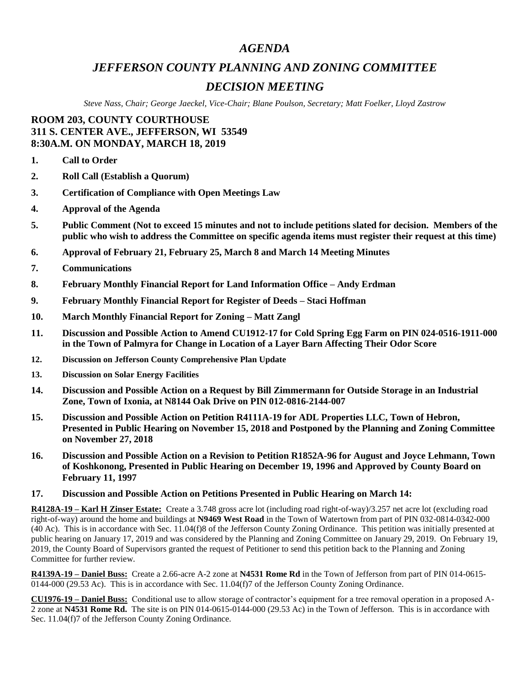## *AGENDA*

## *JEFFERSON COUNTY PLANNING AND ZONING COMMITTEE*

# *DECISION MEETING*

*Steve Nass, Chair; George Jaeckel, Vice-Chair; Blane Poulson, Secretary; Matt Foelker, Lloyd Zastrow*

## **ROOM 203, COUNTY COURTHOUSE 311 S. CENTER AVE., JEFFERSON, WI 53549 8:30A.M. ON MONDAY, MARCH 18, 2019**

- **1. Call to Order**
- **2. Roll Call (Establish a Quorum)**
- **3. Certification of Compliance with Open Meetings Law**
- **4. Approval of the Agenda**
- **5. Public Comment (Not to exceed 15 minutes and not to include petitions slated for decision. Members of the public who wish to address the Committee on specific agenda items must register their request at this time)**
- **6. Approval of February 21, February 25, March 8 and March 14 Meeting Minutes**
- **7. Communications**
- **8. February Monthly Financial Report for Land Information Office – Andy Erdman**
- **9. February Monthly Financial Report for Register of Deeds – Staci Hoffman**
- **10. March Monthly Financial Report for Zoning – Matt Zangl**
- **11. Discussion and Possible Action to Amend CU1912-17 for Cold Spring Egg Farm on PIN 024-0516-1911-000 in the Town of Palmyra for Change in Location of a Layer Barn Affecting Their Odor Score**
- **12. Discussion on Jefferson County Comprehensive Plan Update**
- **13. Discussion on Solar Energy Facilities**
- **14. Discussion and Possible Action on a Request by Bill Zimmermann for Outside Storage in an Industrial Zone, Town of Ixonia, at N8144 Oak Drive on PIN 012-0816-2144-007**
- **15. Discussion and Possible Action on Petition R4111A-19 for ADL Properties LLC, Town of Hebron, Presented in Public Hearing on November 15, 2018 and Postponed by the Planning and Zoning Committee on November 27, 2018**
- **16. Discussion and Possible Action on a Revision to Petition R1852A-96 for August and Joyce Lehmann, Town of Koshkonong, Presented in Public Hearing on December 19, 1996 and Approved by County Board on February 11, 1997**

### **17. Discussion and Possible Action on Petitions Presented in Public Hearing on March 14:**

**R4128A-19 – Karl H Zinser Estate:** Create a 3.748 gross acre lot (including road right-of-way)/3.257 net acre lot (excluding road right-of-way) around the home and buildings at **N9469 West Road** in the Town of Watertown from part of PIN 032-0814-0342-000 (40 Ac). This is in accordance with Sec. 11.04(f)8 of the Jefferson County Zoning Ordinance. This petition was initially presented at public hearing on January 17, 2019 and was considered by the Planning and Zoning Committee on January 29, 2019. On February 19, 2019, the County Board of Supervisors granted the request of Petitioner to send this petition back to the Planning and Zoning Committee for further review.

**R4139A-19 – Daniel Buss:** Create a 2.66-acre A-2 zone at **N4531 Rome Rd** in the Town of Jefferson from part of PIN 014-0615- 0144-000 (29.53 Ac). This is in accordance with Sec. 11.04(f)7 of the Jefferson County Zoning Ordinance.

**CU1976-19 – Daniel Buss:** Conditional use to allow storage of contractor's equipment for a tree removal operation in a proposed A-2 zone at **N4531 Rome Rd.** The site is on PIN 014-0615-0144-000 (29.53 Ac) in the Town of Jefferson. This is in accordance with Sec. 11.04(f)7 of the Jefferson County Zoning Ordinance.